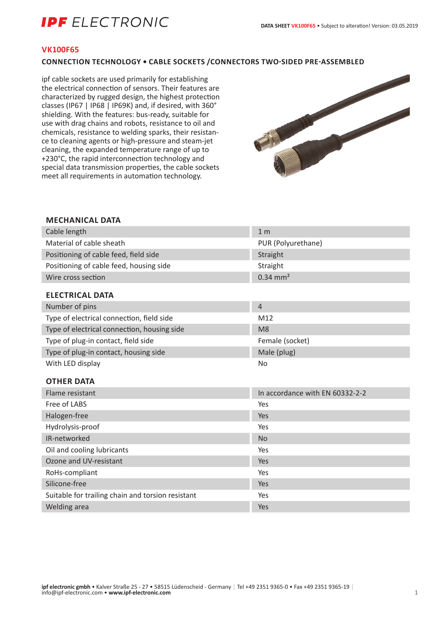# **IPF** ELECTRONIC

### **VK100F65**

### **CONNECTION TECHNOLOGY • CABLE SOCKETS /CONNECTORS TWO-SIDED PRE-ASSEMBLED**

ipf cable sockets are used primarily for establishing the electrical connection of sensors. Their features are characterized by rugged design, the highest protection classes (IP67 | IP68 | IP69K) and, if desired, with 360° shielding. With the features: bus-ready, suitable for use with drag chains and robots, resistance to oil and chemicals, resistance to welding sparks, their resistance to cleaning agents or high-pressure and steam-jet cleaning, the expanded temperature range of up to +230°C, the rapid interconnection technology and special data transmission properties, the cable sockets meet all requirements in automation technology.



### **MECHANICAL DATA**

| Cable length                                      | 1 <sub>m</sub>                  |
|---------------------------------------------------|---------------------------------|
| Material of cable sheath                          | PUR (Polyurethane)              |
| Positioning of cable feed, field side             | Straight                        |
| Positioning of cable feed, housing side           | Straight                        |
| Wire cross section                                | $0.34 \text{ mm}^2$             |
| <b>ELECTRICAL DATA</b>                            |                                 |
| Number of pins                                    | $\overline{4}$                  |
| Type of electrical connection, field side         | M12                             |
| Type of electrical connection, housing side       | M <sub>8</sub>                  |
| Type of plug-in contact, field side               | Female (socket)                 |
| Type of plug-in contact, housing side             | Male (plug)                     |
| With LED display                                  | No                              |
|                                                   |                                 |
| <b>OTHER DATA</b>                                 |                                 |
| Flame resistant                                   | In accordance with EN 60332-2-2 |
| Free of LABS                                      | Yes                             |
| Halogen-free                                      | Yes                             |
| Hydrolysis-proof                                  | Yes                             |
| IR-networked                                      | <b>No</b>                       |
| Oil and cooling lubricants                        | Yes                             |
| Ozone and UV-resistant                            | Yes                             |
| RoHs-compliant                                    | Yes                             |
| Silicone-free                                     | Yes                             |
| Suitable for trailing chain and torsion resistant | Yes                             |